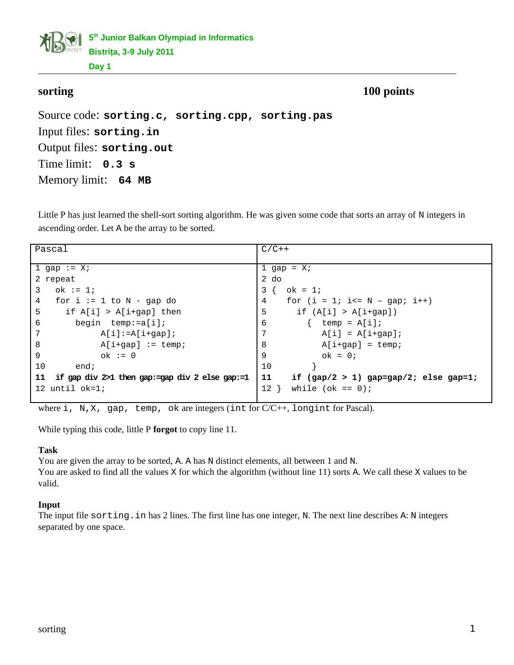**5 th Junior Balkan Olympiad in Informatics Bistriţa, 3-9 July 2011**

**Day 1**

**sorting** 100 points

Source code: **sorting.c, sorting.cpp, sorting.pas** Input files: **sorting.in** Output files: **sorting.out** Time limit: **0.3 s** Memory limit: **64 MB**

Little P has just learned the shell-sort sorting algorithm. He was given some code that sorts an array of N integers in ascending order. Let A be the array to be sorted.

| Pascal                                                 | $C/C++$                                       |  |
|--------------------------------------------------------|-----------------------------------------------|--|
|                                                        |                                               |  |
| 1 gap := $X$ ;                                         | 1 gap = $X$ ;                                 |  |
|                                                        |                                               |  |
| 2 repeat                                               | $2$ do                                        |  |
| 3<br>ok := 1;                                          | $3 \{ ok = 1;$                                |  |
| 4<br>for $i := 1$ to N - gap do                        | for $(i = 1; i<= N - gap; i++)$<br>4          |  |
| 5<br>if $A[i] > A[i+gap]$ then                         | 5<br>if $(A[i] > A[i+gap])$                   |  |
| 6<br>begin $temp:=a[i];$                               | 6<br>$temp = A[i];$                           |  |
| $\overline{7}$<br>$A[i]:=A[i+gap];$                    | $A[i] = A[i+gap];$                            |  |
| 8<br>$A[i+gap] := temp;$                               | 8<br>$A[i+gap] = temp;$                       |  |
| 9<br>$ok := 0$                                         | $ok = 0;$<br>9                                |  |
| 10<br>end;                                             | 10                                            |  |
| if gap div $2>1$ then gap:=gap div 2 else gap:=1<br>11 | 11<br>if $(gap/2 > 1)$ gap=gap/2; else gap=1; |  |
| 12 $until$ $ok=1;$                                     | while (ok == $\theta$ );<br>$12$ }            |  |
|                                                        |                                               |  |

where  $i$ , N, X, gap, temp, ok are integers (int for  $C/C++$ , longint for Pascal).

While typing this code, little P **forgot** to copy line 11.

#### **Task**

You are given the array to be sorted, A. A has N distinct elements, all between 1 and N. You are asked to find all the values X for which the algorithm (without line 11) sorts A. We call these X values to be valid.

## **Input**

The input file sorting.in has 2 lines. The first line has one integer, N. The next line describes A: N integers separated by one space.